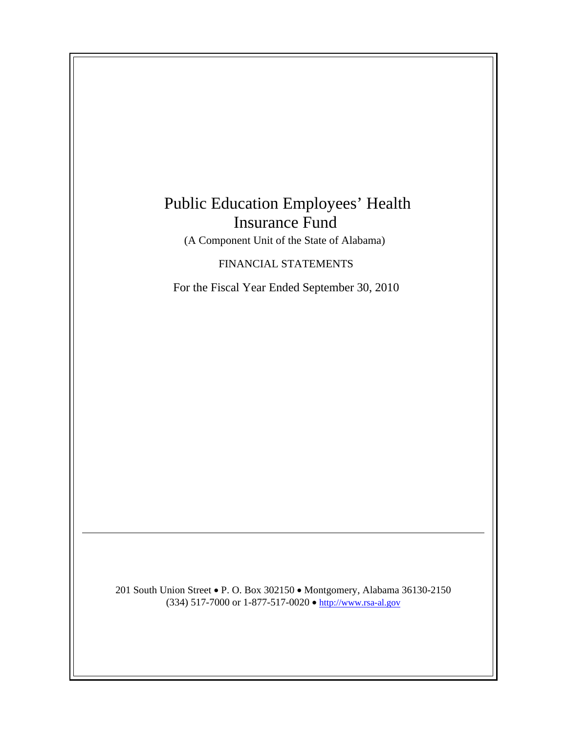# Public Education Employees' Health Insurance Fund

(A Component Unit of the State of Alabama)

FINANCIAL STATEMENTS

For the Fiscal Year Ended September 30, 2010

201 South Union Street • P. O. Box 302150 • Montgomery, Alabama 36130-2150 (334) 517-7000 or 1-877-517-0020  $\bullet$  [http://www.rsa-al.gov](http://www.rsa.state.al.us/)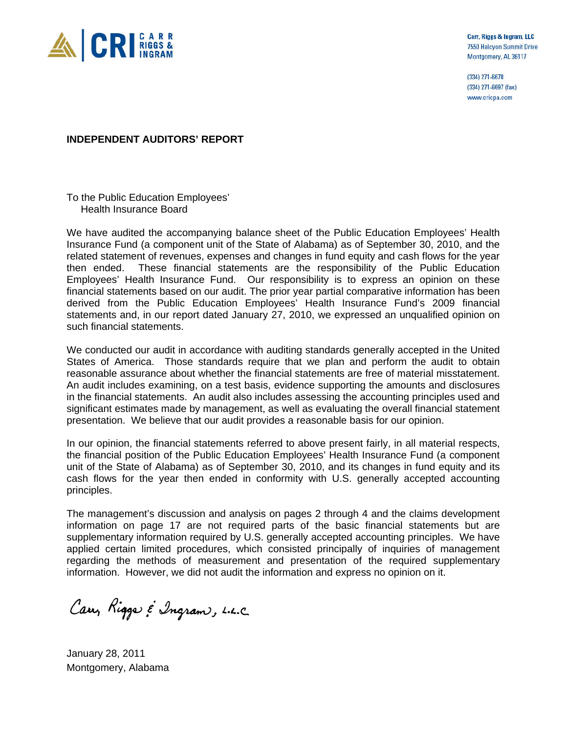

Carr, Riggs & Ingram, LLC 7550 Halcyon Summit Drive Montgomery, AL 36117

(334) 271-6678 (334) 271-6697 (fax) www.cricpa.com

## **INDEPENDENT AUDITORS' REPORT**

To the Public Education Employees' Health Insurance Board

We have audited the accompanying balance sheet of the Public Education Employees' Health Insurance Fund (a component unit of the State of Alabama) as of September 30, 2010, and the related statement of revenues, expenses and changes in fund equity and cash flows for the year then ended. These financial statements are the responsibility of the Public Education Employees' Health Insurance Fund. Our responsibility is to express an opinion on these financial statements based on our audit. The prior year partial comparative information has been derived from the Public Education Employees' Health Insurance Fund's 2009 financial statements and, in our report dated January 27, 2010, we expressed an unqualified opinion on such financial statements.

We conducted our audit in accordance with auditing standards generally accepted in the United States of America. Those standards require that we plan and perform the audit to obtain reasonable assurance about whether the financial statements are free of material misstatement. An audit includes examining, on a test basis, evidence supporting the amounts and disclosures in the financial statements. An audit also includes assessing the accounting principles used and significant estimates made by management, as well as evaluating the overall financial statement presentation. We believe that our audit provides a reasonable basis for our opinion.

In our opinion, the financial statements referred to above present fairly, in all material respects, the financial position of the Public Education Employees' Health Insurance Fund (a component unit of the State of Alabama) as of September 30, 2010, and its changes in fund equity and its cash flows for the year then ended in conformity with U.S. generally accepted accounting principles.

The management's discussion and analysis on pages 2 through 4 and the claims development information on page 17 are not required parts of the basic financial statements but are supplementary information required by U.S. generally accepted accounting principles. We have applied certain limited procedures, which consisted principally of inquiries of management regarding the methods of measurement and presentation of the required supplementary information. However, we did not audit the information and express no opinion on it.

Carry Riggs & Ingram, L.L.C.

January 28, 2011 Montgomery, Alabama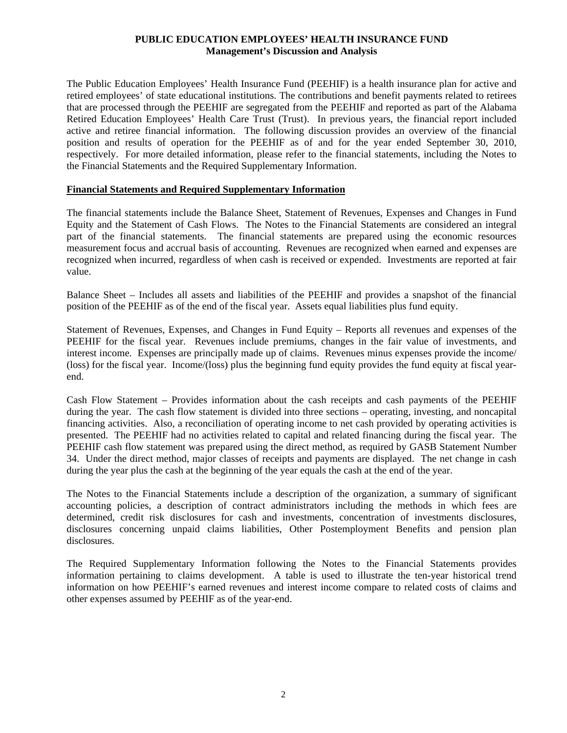## **PUBLIC EDUCATION EMPLOYEES' HEALTH INSURANCE FUND Management's Discussion and Analysis**

The Public Education Employees' Health Insurance Fund (PEEHIF) is a health insurance plan for active and retired employees' of state educational institutions. The contributions and benefit payments related to retirees that are processed through the PEEHIF are segregated from the PEEHIF and reported as part of the Alabama Retired Education Employees' Health Care Trust (Trust). In previous years, the financial report included active and retiree financial information. The following discussion provides an overview of the financial position and results of operation for the PEEHIF as of and for the year ended September 30, 2010, respectively. For more detailed information, please refer to the financial statements, including the Notes to the Financial Statements and the Required Supplementary Information.

#### **Financial Statements and Required Supplementary Information**

The financial statements include the Balance Sheet, Statement of Revenues, Expenses and Changes in Fund Equity and the Statement of Cash Flows. The Notes to the Financial Statements are considered an integral part of the financial statements. The financial statements are prepared using the economic resources measurement focus and accrual basis of accounting. Revenues are recognized when earned and expenses are recognized when incurred, regardless of when cash is received or expended. Investments are reported at fair value.

Balance Sheet – Includes all assets and liabilities of the PEEHIF and provides a snapshot of the financial position of the PEEHIF as of the end of the fiscal year. Assets equal liabilities plus fund equity.

Statement of Revenues, Expenses, and Changes in Fund Equity – Reports all revenues and expenses of the PEEHIF for the fiscal year. Revenues include premiums, changes in the fair value of investments, and interest income. Expenses are principally made up of claims. Revenues minus expenses provide the income/ (loss) for the fiscal year. Income/(loss) plus the beginning fund equity provides the fund equity at fiscal yearend.

Cash Flow Statement – Provides information about the cash receipts and cash payments of the PEEHIF during the year. The cash flow statement is divided into three sections – operating, investing, and noncapital financing activities. Also, a reconciliation of operating income to net cash provided by operating activities is presented. The PEEHIF had no activities related to capital and related financing during the fiscal year. The PEEHIF cash flow statement was prepared using the direct method, as required by GASB Statement Number 34. Under the direct method, major classes of receipts and payments are displayed. The net change in cash during the year plus the cash at the beginning of the year equals the cash at the end of the year.

The Notes to the Financial Statements include a description of the organization, a summary of significant accounting policies, a description of contract administrators including the methods in which fees are determined, credit risk disclosures for cash and investments, concentration of investments disclosures, disclosures concerning unpaid claims liabilities, Other Postemployment Benefits and pension plan disclosures.

The Required Supplementary Information following the Notes to the Financial Statements provides information pertaining to claims development. A table is used to illustrate the ten-year historical trend information on how PEEHIF's earned revenues and interest income compare to related costs of claims and other expenses assumed by PEEHIF as of the year-end.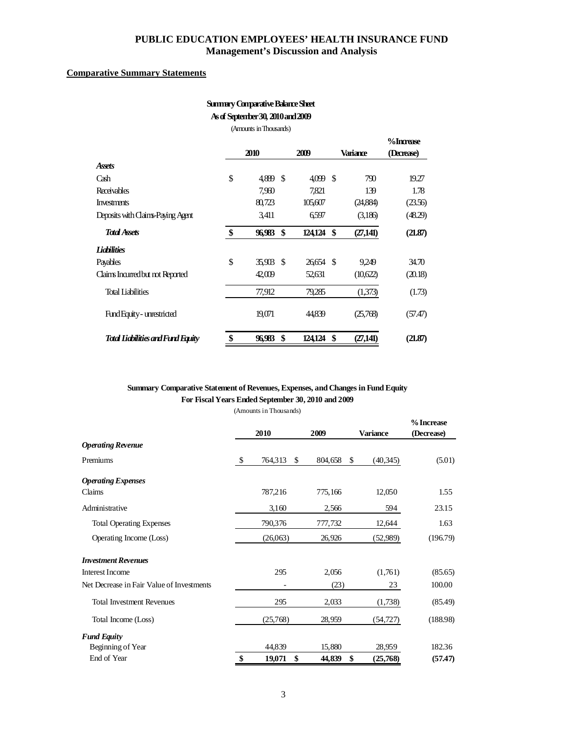## **PUBLIC EDUCATION EMPLOYEES' HEALTH INSURANCE FUND Management's Discussion and Analysis**

#### **Comparative Summary Statements**

## **Summary Comparative Balance Sheet As of September 30, 2010 and 2009**

(Amounts in Thousands)

|                                          |      |        |      |          |                 | %Increase  |
|------------------------------------------|------|--------|------|----------|-----------------|------------|
|                                          | 2010 |        |      | 2009     | Variance        | (Decrease) |
| <b>Assets</b>                            |      |        |      |          |                 |            |
| Cash                                     | \$   | 4,889  | -\$  | 4,099 \$ | 790             | 19.27      |
| Receivables                              |      | 7.960  |      | 7.821    | 139             | 1.78       |
| <b>Investments</b>                       |      | 80,723 |      | 105,607  | (24,884)        | (23.56)    |
| Deposits with Claims-Paying Agent        |      | 3.411  |      | 6597     | (3,186)         | (48.29)    |
| <b>Total Assets</b>                      | \$   | 96,983 | \$   | 124,124  | \$<br>(27, 141) | (21.87)    |
| <i><b>Lightlities</b></i>                |      |        |      |          |                 |            |
| Payables                                 | \$   | 35,903 | - \$ | 26654 \$ | 9.249           | 34.70      |
| Claims Incurred but not Reported         |      | 42,009 |      | 52,631   | (10,622)        | (20.18)    |
| <b>Total Liabilities</b>                 |      | 77,912 |      | 79.285   | (1,373)         | (1.73)     |
| Fund Equity - unrestricted               |      | 19,071 |      | 44,839   | (25,768)        | (57.47)    |
| <b>Total Liabilities and Fund Equity</b> | \$   | 96.983 | \$   | 124.124  | \$<br>(27, 141) | (21.87)    |

# **Summary Comparative Statement of Revenues, Expenses, and Changes in Fund Equity For Fiscal Years Ended September 30, 2010 and 2009**

|                                           | 2010                | 2009    | <b>Variance</b>           | % Increase<br>(Decrease) |
|-------------------------------------------|---------------------|---------|---------------------------|--------------------------|
| <b>Operating Revenue</b>                  |                     |         |                           |                          |
| Premiums                                  | \$<br>764,313<br>\$ | 804,658 | <sup>\$</sup><br>(40,345) | (5.01)                   |
| <b>Operating Expenses</b>                 |                     |         |                           |                          |
| Claims                                    | 787,216             | 775,166 | 12,050                    | 1.55                     |
| Administrative                            | 3,160               | 2,566   | 594                       | 23.15                    |
| <b>Total Operating Expenses</b>           | 790,376             | 777,732 | 12,644                    | 1.63                     |
| Operating Income (Loss)                   | (26,063)            | 26,926  | (52,989)                  | (196.79)                 |
| <b>Investment Revenues</b>                |                     |         |                           |                          |
| <b>Interest Income</b>                    | 295                 | 2,056   | (1,761)                   | (85.65)                  |
| Net Decrease in Fair Value of Investments |                     | (23)    | 23                        | 100.00                   |
| <b>Total Investment Revenues</b>          | 295                 | 2,033   | (1,738)                   | (85.49)                  |
| Total Income (Loss)                       | (25,768)            | 28,959  | (54, 727)                 | (188.98)                 |
| <b>Fund Equity</b>                        |                     |         |                           |                          |
| Beginning of Year                         | 44,839              | 15,880  | 28,959                    | 182.36                   |
| End of Year                               | \$<br>19,071<br>\$  | 44,839  | \$<br>(25,768)            | (57.47)                  |

(Amounts in Thousands)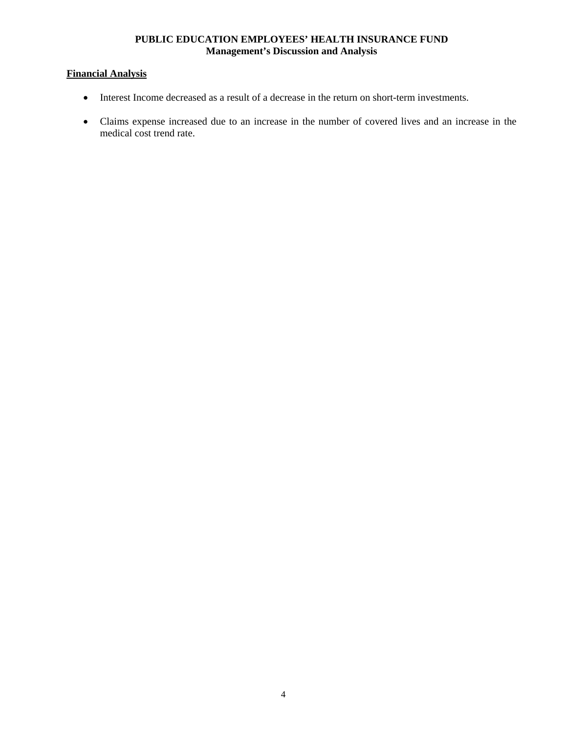## **PUBLIC EDUCATION EMPLOYEES' HEALTH INSURANCE FUND Management's Discussion and Analysis**

# **Financial Analysis**

- Interest Income decreased as a result of a decrease in the return on short-term investments.
- Claims expense increased due to an increase in the number of covered lives and an increase in the medical cost trend rate.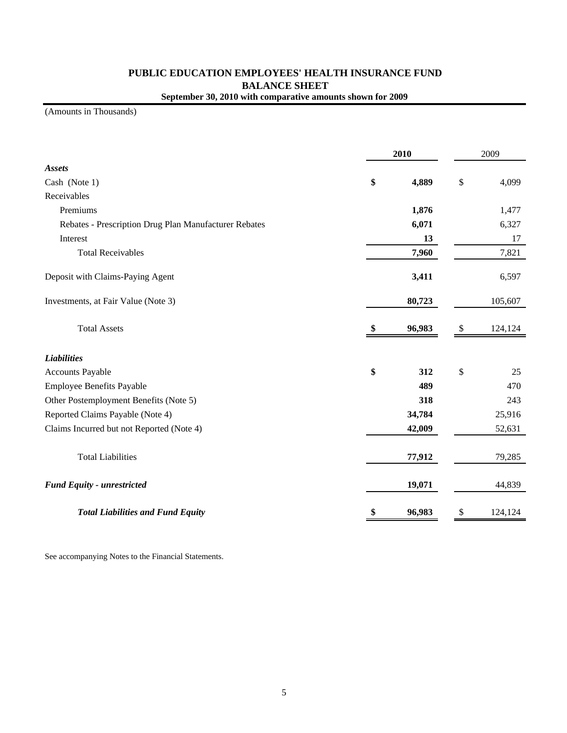# **PUBLIC EDUCATION EMPLOYEES' HEALTH INSURANCE FUND BALANCE SHEET September 30, 2010 with comparative amounts shown for 2009**

(Amounts in Thousands)

|                                                       |    | 2009   |                           |         |
|-------------------------------------------------------|----|--------|---------------------------|---------|
| <b>Assets</b>                                         |    |        |                           |         |
| Cash (Note 1)                                         | \$ | 4,889  | $\mathbb{S}$              | 4,099   |
| Receivables                                           |    |        |                           |         |
| Premiums                                              |    | 1,876  |                           | 1,477   |
| Rebates - Prescription Drug Plan Manufacturer Rebates |    | 6,071  |                           | 6,327   |
| Interest                                              |    | 13     |                           | 17      |
| <b>Total Receivables</b>                              |    | 7,960  |                           | 7,821   |
| Deposit with Claims-Paying Agent                      |    | 3,411  |                           | 6,597   |
| Investments, at Fair Value (Note 3)                   |    | 80,723 |                           | 105,607 |
| <b>Total Assets</b>                                   | \$ | 96,983 | \$                        | 124,124 |
| <b>Liabilities</b>                                    |    |        |                           |         |
| <b>Accounts Payable</b>                               | \$ | 312    | $\boldsymbol{\mathsf{S}}$ | 25      |
| <b>Employee Benefits Payable</b>                      |    | 489    |                           | 470     |
| Other Postemployment Benefits (Note 5)                |    | 318    |                           | 243     |
| Reported Claims Payable (Note 4)                      |    | 34,784 |                           | 25,916  |
| Claims Incurred but not Reported (Note 4)             |    | 42,009 |                           | 52,631  |
| <b>Total Liabilities</b>                              |    | 77,912 |                           | 79,285  |
| <b>Fund Equity - unrestricted</b>                     |    | 19,071 |                           | 44,839  |
| <b>Total Liabilities and Fund Equity</b>              | \$ | 96,983 | \$                        | 124,124 |

See accompanying Notes to the Financial Statements.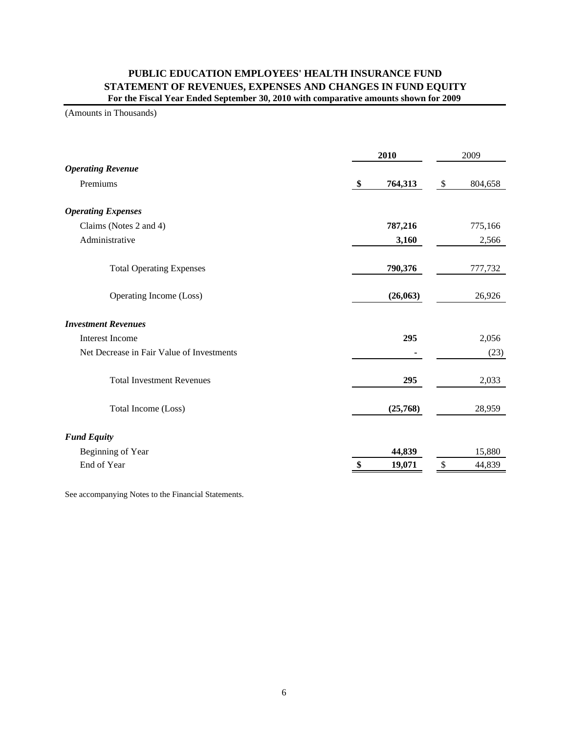## **PUBLIC EDUCATION EMPLOYEES' HEALTH INSURANCE FUND STATEMENT OF REVENUES, EXPENSES AND CHANGES IN FUND EQUITY For the Fiscal Year Ended September 30, 2010 with comparative amounts shown for 2009**

(Amounts in Thousands)

|                                           | 2010          | 2009                               |  |  |
|-------------------------------------------|---------------|------------------------------------|--|--|
| <b>Operating Revenue</b>                  |               |                                    |  |  |
| Premiums                                  | 764,313<br>\$ | $\sqrt[6]{\frac{1}{2}}$<br>804,658 |  |  |
| <b>Operating Expenses</b>                 |               |                                    |  |  |
| Claims (Notes 2 and 4)                    | 787,216       | 775,166                            |  |  |
| Administrative                            | 3,160         | 2,566                              |  |  |
| <b>Total Operating Expenses</b>           | 790,376       | 777,732                            |  |  |
| Operating Income (Loss)                   | (26,063)      | 26,926                             |  |  |
| <b>Investment Revenues</b>                |               |                                    |  |  |
| <b>Interest Income</b>                    | 295           | 2,056                              |  |  |
| Net Decrease in Fair Value of Investments |               | (23)                               |  |  |
| <b>Total Investment Revenues</b>          | 295           | 2,033                              |  |  |
| Total Income (Loss)                       | (25,768)      | 28,959                             |  |  |
| <b>Fund Equity</b>                        |               |                                    |  |  |
| Beginning of Year                         | 44,839        | 15,880                             |  |  |
| End of Year                               | 19,071        | \$<br>44,839                       |  |  |

See accompanying Notes to the Financial Statements.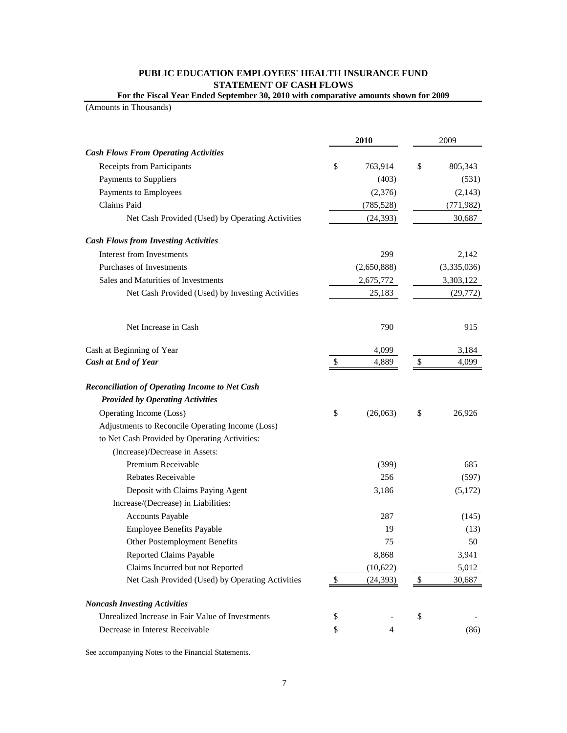## **PUBLIC EDUCATION EMPLOYEES' HEALTH INSURANCE FUND STATEMENT OF CASH FLOWS For the Fiscal Year Ended September 30, 2010 with comparative amounts shown for 2009**

(Amounts in Thousands)

|                                                       |              | 2010        | 2009          |
|-------------------------------------------------------|--------------|-------------|---------------|
| <b>Cash Flows From Operating Activities</b>           |              |             |               |
| Receipts from Participants                            | \$           | 763,914     | \$<br>805,343 |
| Payments to Suppliers                                 |              | (403)       | (531)         |
| Payments to Employees                                 |              | (2,376)     | (2,143)       |
| Claims Paid                                           |              | (785, 528)  | (771, 982)    |
| Net Cash Provided (Used) by Operating Activities      |              | (24, 393)   | 30,687        |
| <b>Cash Flows from Investing Activities</b>           |              |             |               |
| Interest from Investments                             |              | 299         | 2,142         |
| Purchases of Investments                              |              | (2,650,888) | (3,335,036)   |
| Sales and Maturities of Investments                   |              | 2,675,772   | 3,303,122     |
| Net Cash Provided (Used) by Investing Activities      |              | 25,183      | (29, 772)     |
| Net Increase in Cash                                  |              | 790         | 915           |
| Cash at Beginning of Year                             |              | 4,099       | 3,184         |
| <b>Cash at End of Year</b>                            | $\mathbb{S}$ | 4,889       | \$<br>4,099   |
| <b>Reconciliation of Operating Income to Net Cash</b> |              |             |               |
| <b>Provided by Operating Activities</b>               |              |             |               |
| Operating Income (Loss)                               | \$           | (26,063)    | \$<br>26,926  |
| Adjustments to Reconcile Operating Income (Loss)      |              |             |               |
| to Net Cash Provided by Operating Activities:         |              |             |               |
| (Increase)/Decrease in Assets:                        |              |             |               |
| Premium Receivable                                    |              | (399)       | 685           |
| Rebates Receivable                                    |              | 256         | (597)         |
| Deposit with Claims Paying Agent                      |              | 3,186       | (5,172)       |
| Increase/(Decrease) in Liabilities:                   |              |             |               |
| Accounts Payable                                      |              | 287         | (145)         |
| <b>Employee Benefits Payable</b>                      |              | 19          | (13)          |
| Other Postemployment Benefits                         |              | 75          | 50            |
| Reported Claims Payable                               |              | 8,868       | 3,941         |
| Claims Incurred but not Reported                      |              | (10,622)    | 5,012         |
| Net Cash Provided (Used) by Operating Activities      | \$           | (24, 393)   | \$<br>30,687  |
| <b>Noncash Investing Activities</b>                   |              |             |               |
| Unrealized Increase in Fair Value of Investments      | \$           |             | \$            |
| Decrease in Interest Receivable                       | \$           | 4           | (86)          |

See accompanying Notes to the Financial Statements.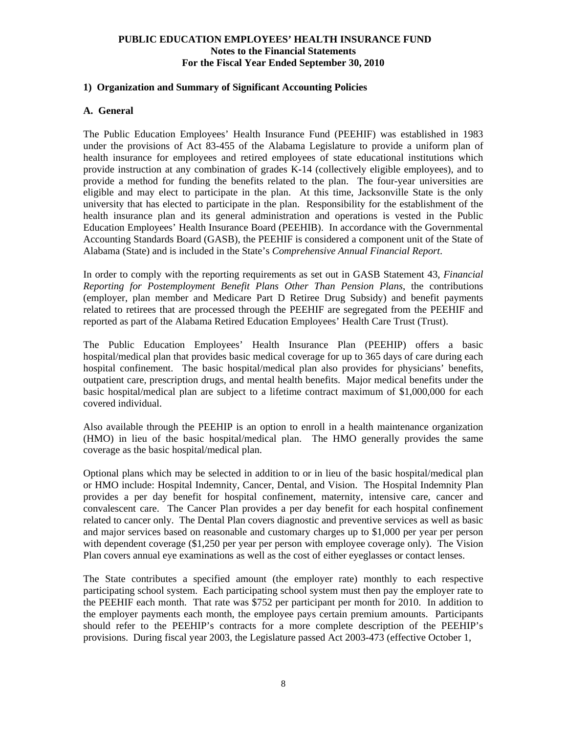## **1) Organization and Summary of Significant Accounting Policies**

#### **A. General**

The Public Education Employees' Health Insurance Fund (PEEHIF) was established in 1983 under the provisions of Act 83-455 of the Alabama Legislature to provide a uniform plan of health insurance for employees and retired employees of state educational institutions which provide instruction at any combination of grades K-14 (collectively eligible employees), and to provide a method for funding the benefits related to the plan. The four-year universities are eligible and may elect to participate in the plan. At this time, Jacksonville State is the only university that has elected to participate in the plan. Responsibility for the establishment of the health insurance plan and its general administration and operations is vested in the Public Education Employees' Health Insurance Board (PEEHIB). In accordance with the Governmental Accounting Standards Board (GASB), the PEEHIF is considered a component unit of the State of Alabama (State) and is included in the State's *Comprehensive Annual Financial Report*.

In order to comply with the reporting requirements as set out in GASB Statement 43, *Financial Reporting for Postemployment Benefit Plans Other Than Pension Plans*, the contributions (employer, plan member and Medicare Part D Retiree Drug Subsidy) and benefit payments related to retirees that are processed through the PEEHIF are segregated from the PEEHIF and reported as part of the Alabama Retired Education Employees' Health Care Trust (Trust).

The Public Education Employees' Health Insurance Plan (PEEHIP) offers a basic hospital/medical plan that provides basic medical coverage for up to 365 days of care during each hospital confinement. The basic hospital/medical plan also provides for physicians' benefits, outpatient care, prescription drugs, and mental health benefits. Major medical benefits under the basic hospital/medical plan are subject to a lifetime contract maximum of \$1,000,000 for each covered individual.

Also available through the PEEHIP is an option to enroll in a health maintenance organization (HMO) in lieu of the basic hospital/medical plan. The HMO generally provides the same coverage as the basic hospital/medical plan.

Optional plans which may be selected in addition to or in lieu of the basic hospital/medical plan or HMO include: Hospital Indemnity, Cancer, Dental, and Vision. The Hospital Indemnity Plan provides a per day benefit for hospital confinement, maternity, intensive care, cancer and convalescent care. The Cancer Plan provides a per day benefit for each hospital confinement related to cancer only. The Dental Plan covers diagnostic and preventive services as well as basic and major services based on reasonable and customary charges up to \$1,000 per year per person with dependent coverage (\$1,250 per year per person with employee coverage only). The Vision Plan covers annual eye examinations as well as the cost of either eyeglasses or contact lenses.

The State contributes a specified amount (the employer rate) monthly to each respective participating school system. Each participating school system must then pay the employer rate to the PEEHIF each month. That rate was \$752 per participant per month for 2010. In addition to the employer payments each month, the employee pays certain premium amounts. Participants should refer to the PEEHIP's contracts for a more complete description of the PEEHIP's provisions. During fiscal year 2003, the Legislature passed Act 2003-473 (effective October 1,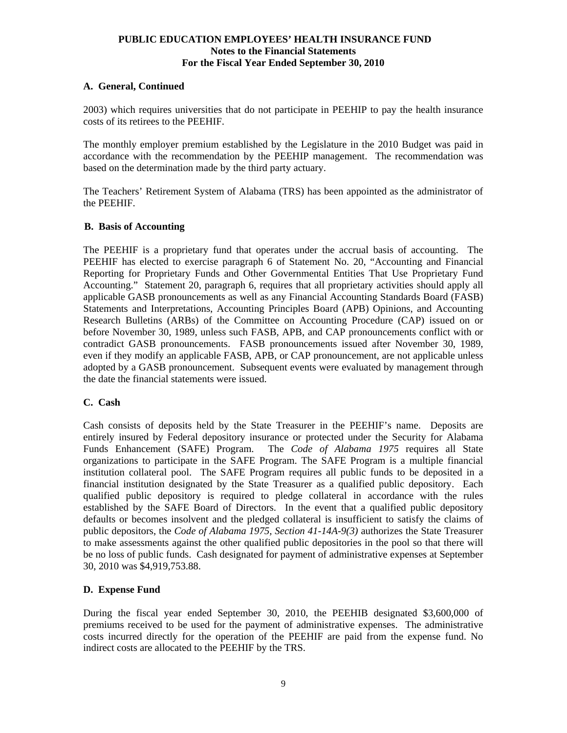## **A. General, Continued**

2003) which requires universities that do not participate in PEEHIP to pay the health insurance costs of its retirees to the PEEHIF.

The monthly employer premium established by the Legislature in the 2010 Budget was paid in accordance with the recommendation by the PEEHIP management. The recommendation was based on the determination made by the third party actuary.

The Teachers' Retirement System of Alabama (TRS) has been appointed as the administrator of the PEEHIF.

#### **B. Basis of Accounting**

The PEEHIF is a proprietary fund that operates under the accrual basis of accounting. The PEEHIF has elected to exercise paragraph 6 of Statement No. 20, "Accounting and Financial Reporting for Proprietary Funds and Other Governmental Entities That Use Proprietary Fund Accounting." Statement 20, paragraph 6, requires that all proprietary activities should apply all applicable GASB pronouncements as well as any Financial Accounting Standards Board (FASB) Statements and Interpretations, Accounting Principles Board (APB) Opinions, and Accounting Research Bulletins (ARBs) of the Committee on Accounting Procedure (CAP) issued on or before November 30, 1989, unless such FASB, APB, and CAP pronouncements conflict with or contradict GASB pronouncements. FASB pronouncements issued after November 30, 1989, even if they modify an applicable FASB, APB, or CAP pronouncement, are not applicable unless adopted by a GASB pronouncement. Subsequent events were evaluated by management through the date the financial statements were issued.

## **C. Cash**

Cash consists of deposits held by the State Treasurer in the PEEHIF's name. Deposits are entirely insured by Federal depository insurance or protected under the Security for Alabama Funds Enhancement (SAFE) Program. The *Code of Alabama 1975* requires all State organizations to participate in the SAFE Program. The SAFE Program is a multiple financial institution collateral pool. The SAFE Program requires all public funds to be deposited in a financial institution designated by the State Treasurer as a qualified public depository. Each qualified public depository is required to pledge collateral in accordance with the rules established by the SAFE Board of Directors. In the event that a qualified public depository defaults or becomes insolvent and the pledged collateral is insufficient to satisfy the claims of public depositors, the *Code of Alabama 1975, Section 41-14A-9(3)* authorizes the State Treasurer to make assessments against the other qualified public depositories in the pool so that there will be no loss of public funds. Cash designated for payment of administrative expenses at September 30, 2010 was \$4,919,753.88.

#### **D. Expense Fund**

During the fiscal year ended September 30, 2010, the PEEHIB designated \$3,600,000 of premiums received to be used for the payment of administrative expenses. The administrative costs incurred directly for the operation of the PEEHIF are paid from the expense fund. No indirect costs are allocated to the PEEHIF by the TRS.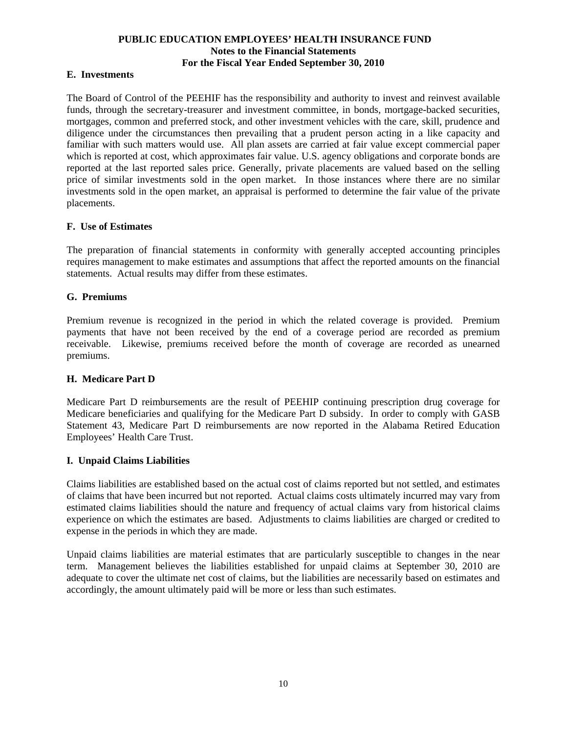## **E. Investments**

The Board of Control of the PEEHIF has the responsibility and authority to invest and reinvest available funds, through the secretary-treasurer and investment committee, in bonds, mortgage-backed securities, mortgages, common and preferred stock, and other investment vehicles with the care, skill, prudence and diligence under the circumstances then prevailing that a prudent person acting in a like capacity and familiar with such matters would use.All plan assets are carried at fair value except commercial paper which is reported at cost, which approximates fair value. U.S. agency obligations and corporate bonds are reported at the last reported sales price. Generally, private placements are valued based on the selling price of similar investments sold in the open market. In those instances where there are no similar investments sold in the open market, an appraisal is performed to determine the fair value of the private placements.

## **F. Use of Estimates**

The preparation of financial statements in conformity with generally accepted accounting principles requires management to make estimates and assumptions that affect the reported amounts on the financial statements. Actual results may differ from these estimates.

## **G. Premiums**

Premium revenue is recognized in the period in which the related coverage is provided. Premium payments that have not been received by the end of a coverage period are recorded as premium receivable. Likewise, premiums received before the month of coverage are recorded as unearned premiums.

## **H. Medicare Part D**

Medicare Part D reimbursements are the result of PEEHIP continuing prescription drug coverage for Medicare beneficiaries and qualifying for the Medicare Part D subsidy. In order to comply with GASB Statement 43, Medicare Part D reimbursements are now reported in the Alabama Retired Education Employees' Health Care Trust.

## **I. Unpaid Claims Liabilities**

Claims liabilities are established based on the actual cost of claims reported but not settled, and estimates of claims that have been incurred but not reported. Actual claims costs ultimately incurred may vary from estimated claims liabilities should the nature and frequency of actual claims vary from historical claims experience on which the estimates are based. Adjustments to claims liabilities are charged or credited to expense in the periods in which they are made.

Unpaid claims liabilities are material estimates that are particularly susceptible to changes in the near term. Management believes the liabilities established for unpaid claims at September 30, 2010 are adequate to cover the ultimate net cost of claims, but the liabilities are necessarily based on estimates and accordingly, the amount ultimately paid will be more or less than such estimates.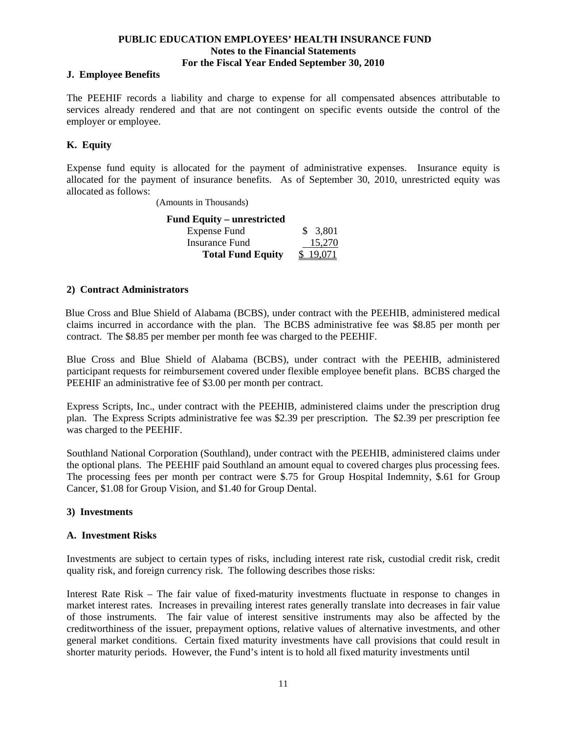#### **J. Employee Benefits**

The PEEHIF records a liability and charge to expense for all compensated absences attributable to services already rendered and that are not contingent on specific events outside the control of the employer or employee.

## **K. Equity**

Expense fund equity is allocated for the payment of administrative expenses. Insurance equity is allocated for the payment of insurance benefits. As of September 30, 2010, unrestricted equity was allocated as follows:

(Amounts in Thousands)

| <b>Fund Equity – unrestricted</b> |          |
|-----------------------------------|----------|
| Expense Fund                      | \$ 3.801 |
| Insurance Fund                    | 15.270   |
| <b>Total Fund Equity</b>          | \$19,071 |

## **2) Contract Administrators**

 Blue Cross and Blue Shield of Alabama (BCBS), under contract with the PEEHIB, administered medical claims incurred in accordance with the plan. The BCBS administrative fee was \$8.85 per month per contract. The \$8.85 per member per month fee was charged to the PEEHIF.

 Blue Cross and Blue Shield of Alabama (BCBS), under contract with the PEEHIB, administered participant requests for reimbursement covered under flexible employee benefit plans. BCBS charged the PEEHIF an administrative fee of \$3.00 per month per contract.

Express Scripts, Inc., under contract with the PEEHIB, administered claims under the prescription drug plan. The Express Scripts administrative fee was \$2.39 per prescription. The \$2.39 per prescription fee was charged to the PEEHIF.

Southland National Corporation (Southland), under contract with the PEEHIB, administered claims under the optional plans. The PEEHIF paid Southland an amount equal to covered charges plus processing fees. The processing fees per month per contract were \$.75 for Group Hospital Indemnity, \$.61 for Group Cancer, \$1.08 for Group Vision, and \$1.40 for Group Dental.

## **3) Investments**

## **A. Investment Risks**

Investments are subject to certain types of risks, including interest rate risk, custodial credit risk, credit quality risk, and foreign currency risk. The following describes those risks:

Interest Rate Risk – The fair value of fixed-maturity investments fluctuate in response to changes in market interest rates. Increases in prevailing interest rates generally translate into decreases in fair value of those instruments. The fair value of interest sensitive instruments may also be affected by the creditworthiness of the issuer, prepayment options, relative values of alternative investments, and other general market conditions. Certain fixed maturity investments have call provisions that could result in shorter maturity periods. However, the Fund's intent is to hold all fixed maturity investments until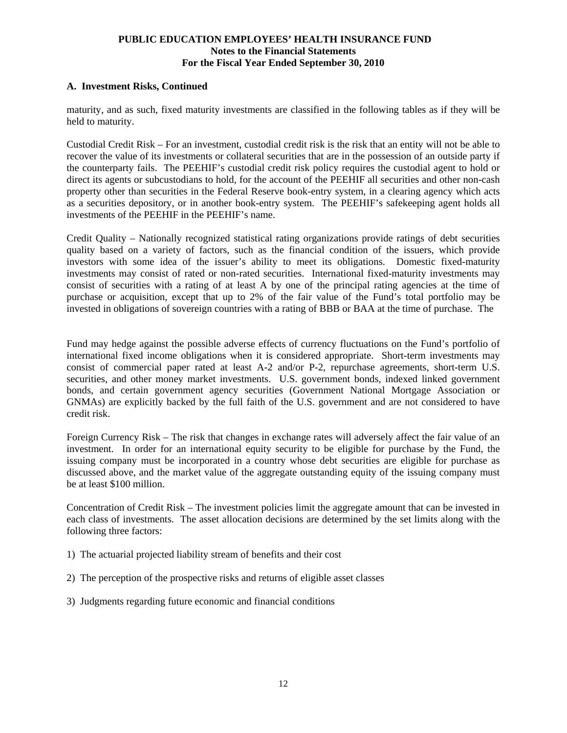## **A. Investment Risks, Continued**

maturity, and as such, fixed maturity investments are classified in the following tables as if they will be held to maturity.

Custodial Credit Risk – For an investment, custodial credit risk is the risk that an entity will not be able to recover the value of its investments or collateral securities that are in the possession of an outside party if the counterparty fails. The PEEHIF's custodial credit risk policy requires the custodial agent to hold or direct its agents or subcustodians to hold, for the account of the PEEHIF all securities and other non-cash property other than securities in the Federal Reserve book-entry system, in a clearing agency which acts as a securities depository, or in another book-entry system. The PEEHIF's safekeeping agent holds all investments of the PEEHIF in the PEEHIF's name.

Credit Quality – Nationally recognized statistical rating organizations provide ratings of debt securities quality based on a variety of factors, such as the financial condition of the issuers, which provide investors with some idea of the issuer's ability to meet its obligations. Domestic fixed-maturity investments may consist of rated or non-rated securities. International fixed-maturity investments may consist of securities with a rating of at least A by one of the principal rating agencies at the time of purchase or acquisition, except that up to 2% of the fair value of the Fund's total portfolio may be invested in obligations of sovereign countries with a rating of BBB or BAA at the time of purchase. The

Fund may hedge against the possible adverse effects of currency fluctuations on the Fund's portfolio of international fixed income obligations when it is considered appropriate. Short-term investments may consist of commercial paper rated at least A-2 and/or P-2, repurchase agreements, short-term U.S. securities, and other money market investments. U.S. government bonds, indexed linked government bonds, and certain government agency securities (Government National Mortgage Association or GNMAs) are explicitly backed by the full faith of the U.S. government and are not considered to have credit risk.

Foreign Currency Risk – The risk that changes in exchange rates will adversely affect the fair value of an investment. In order for an international equity security to be eligible for purchase by the Fund, the issuing company must be incorporated in a country whose debt securities are eligible for purchase as discussed above, and the market value of the aggregate outstanding equity of the issuing company must be at least \$100 million.

Concentration of Credit Risk – The investment policies limit the aggregate amount that can be invested in each class of investments. The asset allocation decisions are determined by the set limits along with the following three factors:

- 1) The actuarial projected liability stream of benefits and their cost
- 2) The perception of the prospective risks and returns of eligible asset classes
- 3) Judgments regarding future economic and financial conditions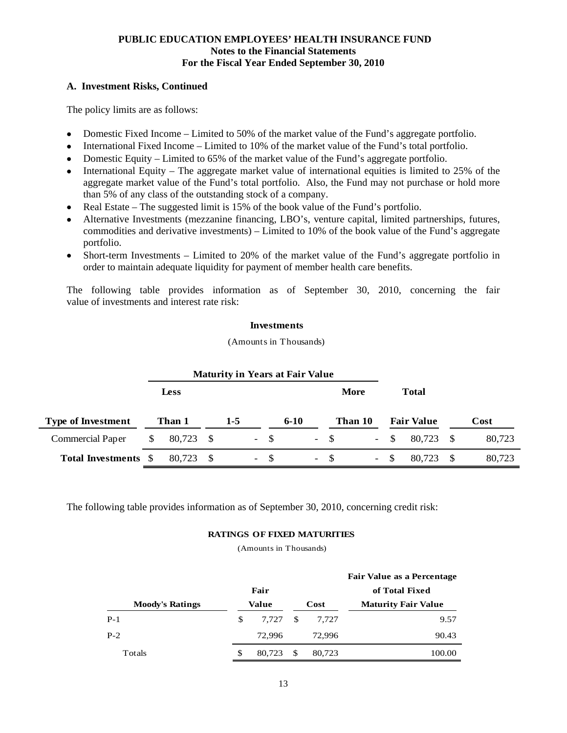## **A. Investment Risks, Continued**

The policy limits are as follows:

- Domestic Fixed Income Limited to 50% of the market value of the Fund's aggregate portfolio.
- International Fixed Income Limited to 10% of the market value of the Fund's total portfolio.
- Domestic Equity Limited to 65% of the market value of the Fund's aggregate portfolio.
- $\bullet$  International Equity The aggregate market value of international equities is limited to 25% of the aggregate market value of the Fund's total portfolio. Also, the Fund may not purchase or hold more than 5% of any class of the outstanding stock of a company.
- Real Estate The suggested limit is 15% of the book value of the Fund's portfolio.
- Alternative Investments (mezzanine financing, LBO's, venture capital, limited partnerships, futures, commodities and derivative investments) – Limited to 10% of the book value of the Fund's aggregate portfolio.
- Short-term Investments Limited to 20% of the market value of the Fund's aggregate portfolio in order to maintain adequate liquidity for payment of member health care benefits.

The following table provides information as of September 30, 2010, concerning the fair value of investments and interest rate risk:

#### **Investments**

(Amounts in Thousands)

|                           |    | <b>Maturity in Years at Fair Value</b> |  |                          |       |          |        |         |              |                   |      |        |
|---------------------------|----|----------------------------------------|--|--------------------------|-------|----------|--------|---------|--------------|-------------------|------|--------|
|                           |    | Less                                   |  |                          |       |          |        | More    |              | <b>Total</b>      |      |        |
| <b>Type of Investment</b> |    | Than 1                                 |  | $1-5$                    |       | $6 - 10$ |        | Than 10 |              | <b>Fair Value</b> |      | Cost   |
| <b>Commercial Paper</b>   | S. | 80,723 \$                              |  |                          | $- S$ |          | $-$ \$ |         | $-$ \$       | 80.723            | - \$ | 80,723 |
| Total Investments \$      |    | 80.723                                 |  | $\overline{\phantom{a}}$ | - \$  |          | $-$ \$ | $\sim$  | <sup>S</sup> | 80.723            | - \$ | 80,723 |

The following table provides information as of September 30, 2010, concerning credit risk:

#### **RATINGS OF FIXED MATURITIES**

(Amounts in Thousands)

|                        |              |    |        | <b>Fair Value as a Percentage</b> |  |  |
|------------------------|--------------|----|--------|-----------------------------------|--|--|
|                        | Fair         |    |        | of Total Fixed                    |  |  |
| <b>Moody's Ratings</b> | Value        |    | Cost   | <b>Maturity Fair Value</b>        |  |  |
| $P-1$                  | \$<br>7.727  | -S | 7.727  | 9.57                              |  |  |
| $P-2$                  | 72,996       |    | 72,996 | 90.43                             |  |  |
| Totals                 | \$<br>80.723 | -S | 80,723 | 100.00                            |  |  |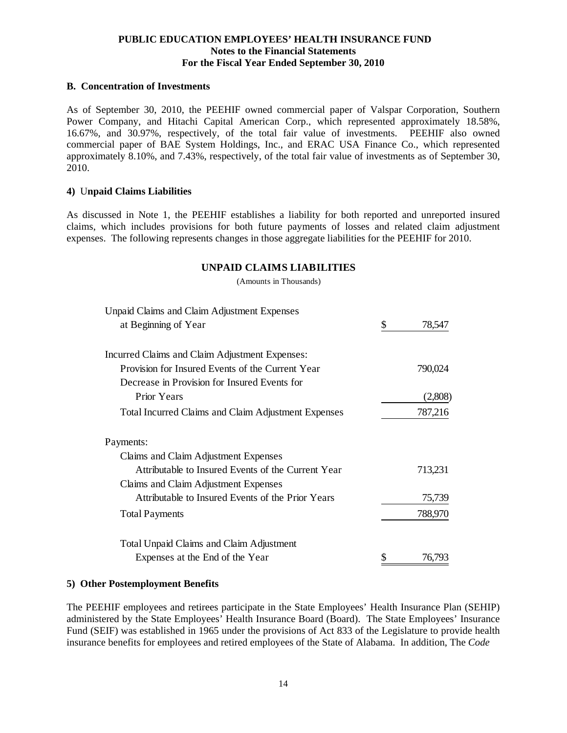#### **B. Concentration of Investments**

As of September 30, 2010, the PEEHIF owned commercial paper of Valspar Corporation, Southern Power Company, and Hitachi Capital American Corp., which represented approximately 18.58%, 16.67%, and 30.97%, respectively, of the total fair value of investments. PEEHIF also owned commercial paper of BAE System Holdings, Inc., and ERAC USA Finance Co., which represented approximately 8.10%, and 7.43%, respectively, of the total fair value of investments as of September 30, 2010.

#### **4)** U**npaid Claims Liabilities**

As discussed in Note 1, the PEEHIF establishes a liability for both reported and unreported insured claims, which includes provisions for both future payments of losses and related claim adjustment expenses. The following represents changes in those aggregate liabilities for the PEEHIF for 2010.

#### **UNPAID CLAIMS LIABILITIES**

(Amounts in Thousands)

| <b>Unpaid Claims and Claim Adjustment Expenses</b>  |              |
|-----------------------------------------------------|--------------|
| at Beginning of Year                                | \$<br>78,547 |
| Incurred Claims and Claim Adjustment Expenses:      |              |
| Provision for Insured Events of the Current Year    | 790,024      |
| Decrease in Provision for Insured Events for        |              |
| <b>Prior Years</b>                                  | (2,808)      |
| Total Incurred Claims and Claim Adjustment Expenses | 787,216      |
| Payments:                                           |              |
| Claims and Claim Adjustment Expenses                |              |
| Attributable to Insured Events of the Current Year  | 713,231      |
| Claims and Claim Adjustment Expenses                |              |
| Attributable to Insured Events of the Prior Years   | 75,739       |
| <b>Total Payments</b>                               | 788,970      |
| <b>Total Unpaid Claims and Claim Adjustment</b>     |              |
| Expenses at the End of the Year                     | \$<br>76,793 |

#### **5) Other Postemployment Benefits**

The PEEHIF employees and retirees participate in the State Employees' Health Insurance Plan (SEHIP) administered by the State Employees' Health Insurance Board (Board). The State Employees' Insurance Fund (SEIF) was established in 1965 under the provisions of Act 833 of the Legislature to provide health insurance benefits for employees and retired employees of the State of Alabama. In addition, The *Code*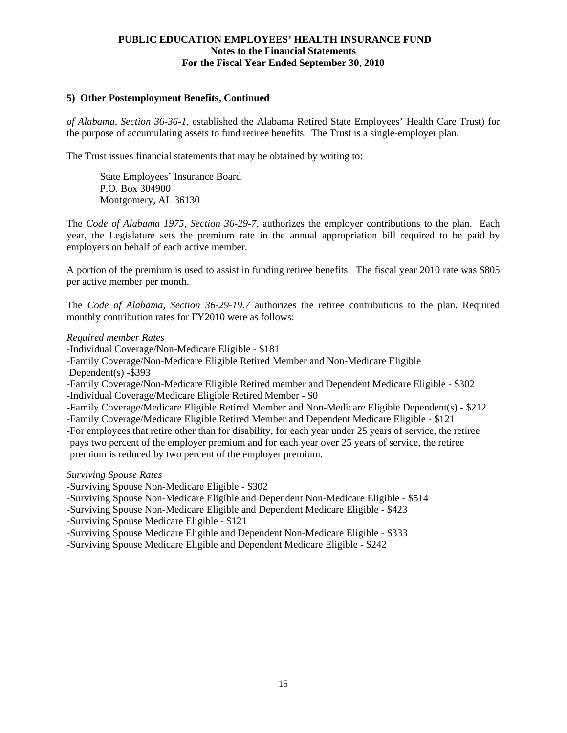#### **5) Other Postemployment Benefits, Continued**

*of Alabama, Section 36-36-1,* established the Alabama Retired State Employees' Health Care Trust) for the purpose of accumulating assets to fund retiree benefits. The Trust is a single-employer plan.

The Trust issues financial statements that may be obtained by writing to:

 State Employees' Insurance Board P.O. Box 304900 Montgomery, AL 36130

The *Code of Alabama 1975, Section 36-29-7,* authorizes the employer contributions to the plan. Each year, the Legislature sets the premium rate in the annual appropriation bill required to be paid by employers on behalf of each active member.

A portion of the premium is used to assist in funding retiree benefits. The fiscal year 2010 rate was \$805 per active member per month.

The *Code of Alabama, Section 36-29-19.7* authorizes the retiree contributions to the plan. Required monthly contribution rates for FY2010 were as follows:

#### *Required member Rates*

-Individual Coverage/Non-Medicare Eligible - \$181

-Family Coverage/Non-Medicare Eligible Retired Member and Non-Medicare Eligible

Dependent(s) -\$393

-Family Coverage/Non-Medicare Eligible Retired member and Dependent Medicare Eligible - \$302 -Individual Coverage/Medicare Eligible Retired Member - \$0

-Family Coverage/Medicare Eligible Retired Member and Non-Medicare Eligible Dependent(s) - \$212

-Family Coverage/Medicare Eligible Retired Member and Dependent Medicare Eligible - \$121

-For employees that retire other than for disability, for each year under 25 years of service, the retiree pays two percent of the employer premium and for each year over 25 years of service, the retiree premium is reduced by two percent of the employer premium.

#### *Surviving Spouse Rates*

-Surviving Spouse Non-Medicare Eligible - \$302

-Surviving Spouse Non-Medicare Eligible and Dependent Non-Medicare Eligible - \$514

-Surviving Spouse Non-Medicare Eligible and Dependent Medicare Eligible - \$423

-Surviving Spouse Medicare Eligible - \$121

-Surviving Spouse Medicare Eligible and Dependent Non-Medicare Eligible - \$333

-Surviving Spouse Medicare Eligible and Dependent Medicare Eligible - \$242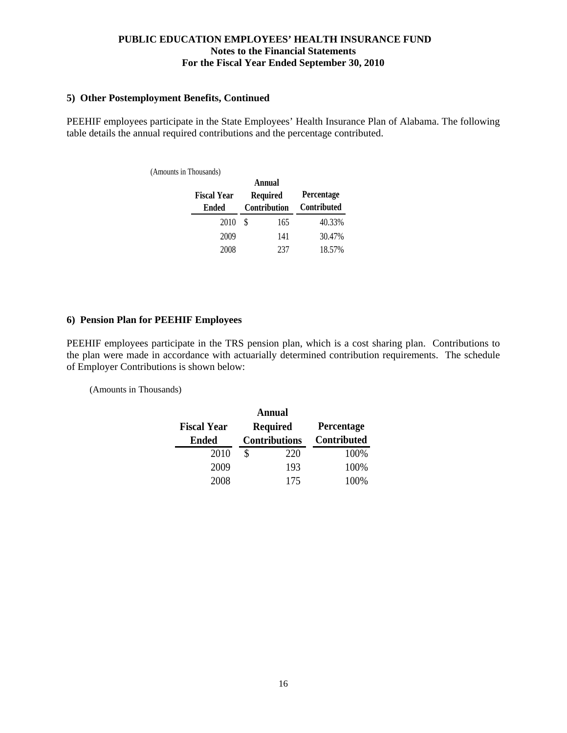#### **5) Other Postemployment Benefits, Continued**

PEEHIF employees participate in the State Employees' Health Insurance Plan of Alabama. The following table details the annual required contributions and the percentage contributed.

| (Amounts in Thousands) |                    |              |                 |             |  |  |  |  |  |  |
|------------------------|--------------------|--------------|-----------------|-------------|--|--|--|--|--|--|
|                        |                    |              | Annual          |             |  |  |  |  |  |  |
|                        | <b>Fiscal Year</b> |              | <b>Required</b> | Percentage  |  |  |  |  |  |  |
|                        | <b>Ended</b>       | Contribution |                 | Contributed |  |  |  |  |  |  |
|                        | 2010               | S            | 165             | 40.33%      |  |  |  |  |  |  |
|                        | 2009               |              | 141             | 30.47%      |  |  |  |  |  |  |
|                        | 2008               |              | 237             | 18.57%      |  |  |  |  |  |  |

#### **6) Pension Plan for PEEHIF Employees**

PEEHIF employees participate in the TRS pension plan, which is a cost sharing plan. Contributions to the plan were made in accordance with actuarially determined contribution requirements. The schedule of Employer Contributions is shown below:

(Amounts in Thousands)

| Annual             |    |                      |             |  |  |  |  |  |  |  |  |
|--------------------|----|----------------------|-------------|--|--|--|--|--|--|--|--|
| <b>Fiscal Year</b> |    | <b>Required</b>      | Percentage  |  |  |  |  |  |  |  |  |
| <b>Ended</b>       |    | <b>Contributions</b> | Contributed |  |  |  |  |  |  |  |  |
| 2010               | \$ | 220                  | 100%        |  |  |  |  |  |  |  |  |
| 2009               |    | 193                  | 100%        |  |  |  |  |  |  |  |  |
| 2008               |    | 175                  | 100%        |  |  |  |  |  |  |  |  |